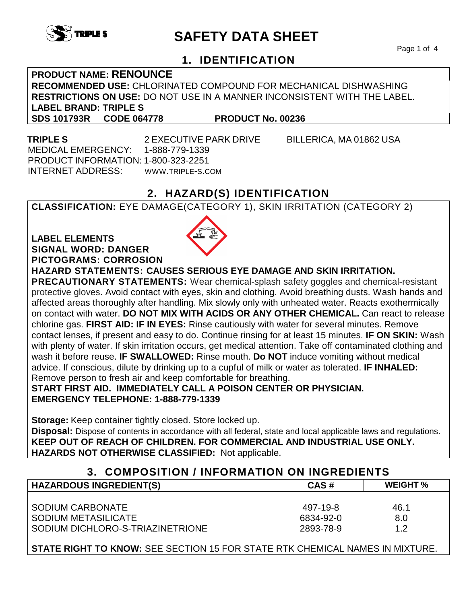

# **SAFETY DATA SHEET**

Page 1 of 4

## **1. IDENTIFICATION**

**PRODUCT NAME: RENOUNCE RECOMMENDED USE:** CHLORINATED COMPOUND FOR MECHANICAL DISHWASHING **RESTRICTIONS ON USE:** DO NOT USE IN A MANNER INCONSISTENT WITH THE LABEL. **LABEL BRAND: TRIPLE S SDS 101793R CODE 064778 PRODUCT No. 00236** 

 MEDICAL EMERGENCY: 1-888-779-1339 PRODUCT INFORMATION: 1-800-323-2251 INTERNET ADDRESS: WWW.TRIPLE-S.COM

**TRIPLE S** 2 EXECUTIVE PARK DRIVE BILLERICA, MA 01862 USA

## **2. HAZARD(S) IDENTIFICATION**

**CLASSIFICATION:** EYE DAMAGE(CATEGORY 1), SKIN IRRITATION (CATEGORY 2)

## **LABEL ELEMENTS SIGNAL WORD: DANGER PICTOGRAMS: CORROSION**



**HAZARD STATEMENTS: CAUSES SERIOUS EYE DAMAGE AND SKIN IRRITATION. PRECAUTIONARY STATEMENTS:** Wear chemical-splash safety goggles and chemical-resistant protective gloves. Avoid contact with eyes, skin and clothing. Avoid breathing dusts. Wash hands and

affected areas thoroughly after handling. Mix slowly only with unheated water. Reacts exothermically on contact with water. **DO NOT MIX WITH ACIDS OR ANY OTHER CHEMICAL.** Can react to release chlorine gas. **FIRST AID: IF IN EYES:** Rinse cautiously with water for several minutes. Remove contact lenses, if present and easy to do. Continue rinsing for at least 15 minutes. **IF ON SKIN:** Wash with plenty of water. If skin irritation occurs, get medical attention. Take off contaminated clothing and wash it before reuse. **IF SWALLOWED:** Rinse mouth. **Do NOT** induce vomiting without medical advice. If conscious, dilute by drinking up to a cupful of milk or water as tolerated. **IF INHALED:** Remove person to fresh air and keep comfortable for breathing.

**START FIRST AID. IMMEDIATELY CALL A POISON CENTER OR PHYSICIAN. EMERGENCY TELEPHONE: 1-888-779-1339**

**Storage:** Keep container tightly closed. Store locked up. **Disposal:** Dispose of contents in accordance with all federal, state and local applicable laws and regulations. **KEEP OUT OF REACH OF CHILDREN. FOR COMMERCIAL AND INDUSTRIAL USE ONLY. HAZARDS NOT OTHERWISE CLASSIFIED:** Not applicable.

| 3. COMPOSITION / INFORMATION ON INGREDIENTS |           |                 |  |
|---------------------------------------------|-----------|-----------------|--|
| <b>HAZARDOUS INGREDIENT(S)</b>              | CAS#      | <b>WEIGHT %</b> |  |
|                                             |           |                 |  |
| SODIUM CARBONATE                            | 497-19-8  | 46.1            |  |
| SODIUM METASILICATE                         | 6834-92-0 | 8.0             |  |
| SODIUM DICHLORO-S-TRIAZINETRIONE            | 2893-78-9 | 1.2             |  |

**STATE RIGHT TO KNOW:** SEE SECTION 15 FOR STATE RTK CHEMICAL NAMES IN MIXTURE.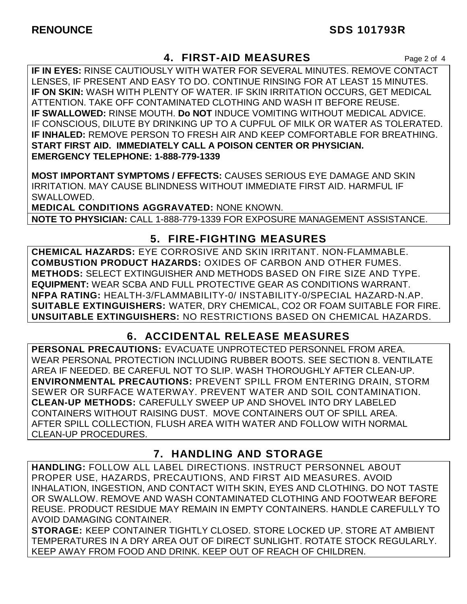## **4. FIRST-AID MEASURES** Page 2 of 4

**IF IN EYES:** RINSE CAUTIOUSLY WITH WATER FOR SEVERAL MINUTES. REMOVE CONTACT LENSES, IF PRESENT AND EASY TO DO. CONTINUE RINSING FOR AT LEAST 15 MINUTES. **IF ON SKIN:** WASH WITH PLENTY OF WATER. IF SKIN IRRITATION OCCURS, GET MEDICAL ATTENTION. TAKE OFF CONTAMINATED CLOTHING AND WASH IT BEFORE REUSE. **IF SWALLOWED:** RINSE MOUTH. **Do NOT** INDUCE VOMITING WITHOUT MEDICAL ADVICE. IF CONSCIOUS, DILUTE BY DRINKING UP TO A CUPFUL OF MILK OR WATER AS TOLERATED. **IF INHALED:** REMOVE PERSON TO FRESH AIR AND KEEP COMFORTABLE FOR BREATHING. **START FIRST AID. IMMEDIATELY CALL A POISON CENTER OR PHYSICIAN. EMERGENCY TELEPHONE: 1-888-779-1339**

**MOST IMPORTANT SYMPTOMS / EFFECTS:** CAUSES SERIOUS EYE DAMAGE AND SKIN IRRITATION. MAY CAUSE BLINDNESS WITHOUT IMMEDIATE FIRST AID. HARMFUL IF SWALLOWED.

**MEDICAL CONDITIONS AGGRAVATED:** NONE KNOWN. **NOTE TO PHYSICIAN:** CALL 1-888-779-1339 FOR EXPOSURE MANAGEMENT ASSISTANCE.

## **5. FIRE-FIGHTING MEASURES**

**CHEMICAL HAZARDS:** EYE CORROSIVE AND SKIN IRRITANT. NON-FLAMMABLE. **COMBUSTION PRODUCT HAZARDS:** OXIDES OF CARBON AND OTHER FUMES. **METHODS:** SELECT EXTINGUISHER AND METHODS BASED ON FIRE SIZE AND TYPE. **EQUIPMENT:** WEAR SCBA AND FULL PROTECTIVE GEAR AS CONDITIONS WARRANT. **NFPA RATING:** HEALTH-3/FLAMMABILITY-0/ INSTABILITY-0/SPECIAL HAZARD-N.AP. **SUITABLE EXTINGUISHERS:** WATER, DRY CHEMICAL, CO2 OR FOAM SUITABLE FOR FIRE. **UNSUITABLE EXTINGUISHERS:** NO RESTRICTIONS BASED ON CHEMICAL HAZARDS.

# **6. ACCIDENTAL RELEASE MEASURES**

**PERSONAL PRECAUTIONS:** EVACUATE UNPROTECTED PERSONNEL FROM AREA. WEAR PERSONAL PROTECTION INCLUDING RUBBER BOOTS. SEE SECTION 8. VENTILATE AREA IF NEEDED. BE CAREFUL NOT TO SLIP. WASH THOROUGHLY AFTER CLEAN-UP. **ENVIRONMENTAL PRECAUTIONS:** PREVENT SPILL FROM ENTERING DRAIN, STORM SEWER OR SURFACE WATERWAY. PREVENT WATER AND SOIL CONTAMINATION. **CLEAN-UP METHODS:** CAREFULLY SWEEP UP AND SHOVEL INTO DRY LABELED CONTAINERS WITHOUT RAISING DUST. MOVE CONTAINERS OUT OF SPILL AREA. AFTER SPILL COLLECTION, FLUSH AREA WITH WATER AND FOLLOW WITH NORMAL CLEAN-UP PROCEDURES.

# **7. HANDLING AND STORAGE**

**HANDLING:** FOLLOW ALL LABEL DIRECTIONS. INSTRUCT PERSONNEL ABOUT PROPER USE, HAZARDS, PRECAUTIONS, AND FIRST AID MEASURES. AVOID INHALATION, INGESTION, AND CONTACT WITH SKIN, EYES AND CLOTHING. DO NOT TASTE OR SWALLOW. REMOVE AND WASH CONTAMINATED CLOTHING AND FOOTWEAR BEFORE REUSE. PRODUCT RESIDUE MAY REMAIN IN EMPTY CONTAINERS. HANDLE CAREFULLY TO AVOID DAMAGING CONTAINER.

**STORAGE:** KEEP CONTAINER TIGHTLY CLOSED. STORE LOCKED UP. STORE AT AMBIENT TEMPERATURES IN A DRY AREA OUT OF DIRECT SUNLIGHT. ROTATE STOCK REGULARLY. KEEP AWAY FROM FOOD AND DRINK. KEEP OUT OF REACH OF CHILDREN.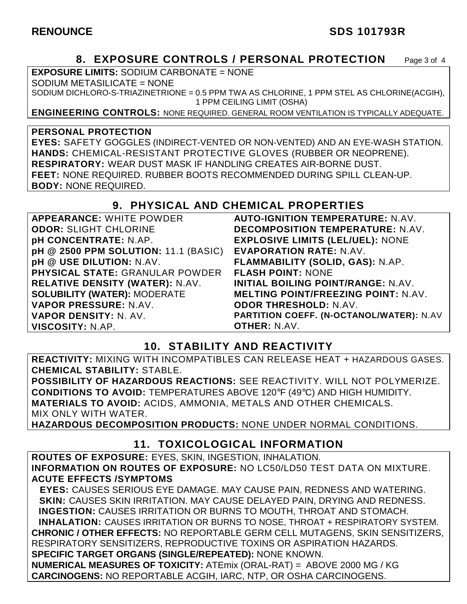#### RENOUNCE SDS 101793R

### **8. EXPOSURE CONTROLS / PERSONAL PROTECTION** Page 3 of 4

**EXPOSURE LIMITS:** SODIUM CARBONATE = NONE

SODIUM METASILICATE = NONE

SODIUM DICHLORO-S-TRIAZINETRIONE = 0.5 PPM TWA AS CHLORINE, 1 PPM STEL AS CHLORINE(ACGIH), 1 PPM CEILING LIMIT (OSHA)

**ENGINEERING CONTROLS:** NONE REQUIRED. GENERAL ROOM VENTILATION IS TYPICALLY ADEQUATE.

#### **PERSONAL PROTECTION**

**EYES:** SAFETY GOGGLES (INDIRECT-VENTED OR NON-VENTED) AND AN EYE-WASH STATION. **HANDS:** CHEMICAL-RESISTANT PROTECTIVE GLOVES (RUBBER OR NEOPRENE). **RESPIRATORY:** WEAR DUST MASK IF HANDLING CREATES AIR-BORNE DUST. **FEET:** NONE REQUIRED. RUBBER BOOTS RECOMMENDED DURING SPILL CLEAN-UP. **BODY:** NONE REQUIRED.

### **9. PHYSICAL AND CHEMICAL PROPERTIES**

**APPEARANCE:** WHITE POWDER **ODOR:** SLIGHT CHLORINE **pH CONCENTRATE:** N.AP. **pH @ 2500 PPM SOLUTION:** 11.1 (BASIC) **pH @ USE DILUTION:** N.AV. **PHYSICAL STATE:** GRANULAR POWDER **RELATIVE DENSITY (WATER):** N.AV. **SOLUBILITY (WATER):** MODERATE **VAPOR PRESSURE:** N.AV. **VAPOR DENSITY:** N. AV. **VISCOSITY:** N.AP. **AUTO-IGNITION TEMPERATURE:** N.AV. **DECOMPOSITION TEMPERATURE:** N.AV. **EXPLOSIVE LIMITS (LEL/UEL):** NONE **EVAPORATION RATE:** N.AV. **FLAMMABILITY (SOLID, GAS):** N.AP. **FLASH POINT:** NONE **INITIAL BOILING POINT/RANGE:** N.AV. **MELTING POINT/FREEZING POINT:** N.AV. **ODOR THRESHOLD:** N.AV. **PARTITION COEFF. (N-OCTANOL/WATER):** N.AV **OTHER:** N.AV.

### **10. STABILITY AND REACTIVITY**

**REACTIVITY:** MIXING WITH INCOMPATIBLES CAN RELEASE HEAT + HAZARDOUS GASES. **CHEMICAL STABILITY:** STABLE.

**POSSIBILITY OF HAZARDOUS REACTIONS:** SEE REACTIVITY. WILL NOT POLYMERIZE. **CONDITIONS TO AVOID:** TEMPERATURES ABOVE 120°F (49°C) AND HIGH HUMIDITY. **MATERIALS TO AVOID:** ACIDS, AMMONIA, METALS AND OTHER CHEMICALS. MIX ONLY WITH WATER.

**HAZARDOUS DECOMPOSITION PRODUCTS:** NONE UNDER NORMAL CONDITIONS.

### **11. TOXICOLOGICAL INFORMATION**

**ROUTES OF EXPOSURE:** EYES, SKIN, INGESTION, INHALATION. **INFORMATION ON ROUTES OF EXPOSURE:** NO LC50/LD50 TEST DATA ON MIXTURE. **ACUTE EFFECTS /SYMPTOMS**

 **EYES:** CAUSES SERIOUS EYE DAMAGE. MAY CAUSE PAIN, REDNESS AND WATERING. **SKIN:** CAUSES SKIN IRRITATION. MAY CAUSE DELAYED PAIN, DRYING AND REDNESS. **INGESTION:** CAUSES IRRITATION OR BURNS TO MOUTH, THROAT AND STOMACH. **INHALATION:** CAUSES IRRITATION OR BURNS TO NOSE, THROAT + RESPIRATORY SYSTEM. **CHRONIC / OTHER EFFECTS:** NO REPORTABLE GERM CELL MUTAGENS, SKIN SENSITIZERS, RESPIRATORY SENSITIZERS, REPRODUCTIVE TOXINS OR ASPIRATION HAZARDS. **SPECIFIC TARGET ORGANS (SINGLE/REPEATED):** NONE KNOWN.

**NUMERICAL MEASURES OF TOXICITY:** ATEmix (ORAL-RAT) = ABOVE 2000 MG / KG **CARCINOGENS:** NO REPORTABLE ACGIH, IARC, NTP, OR OSHA CARCINOGENS.